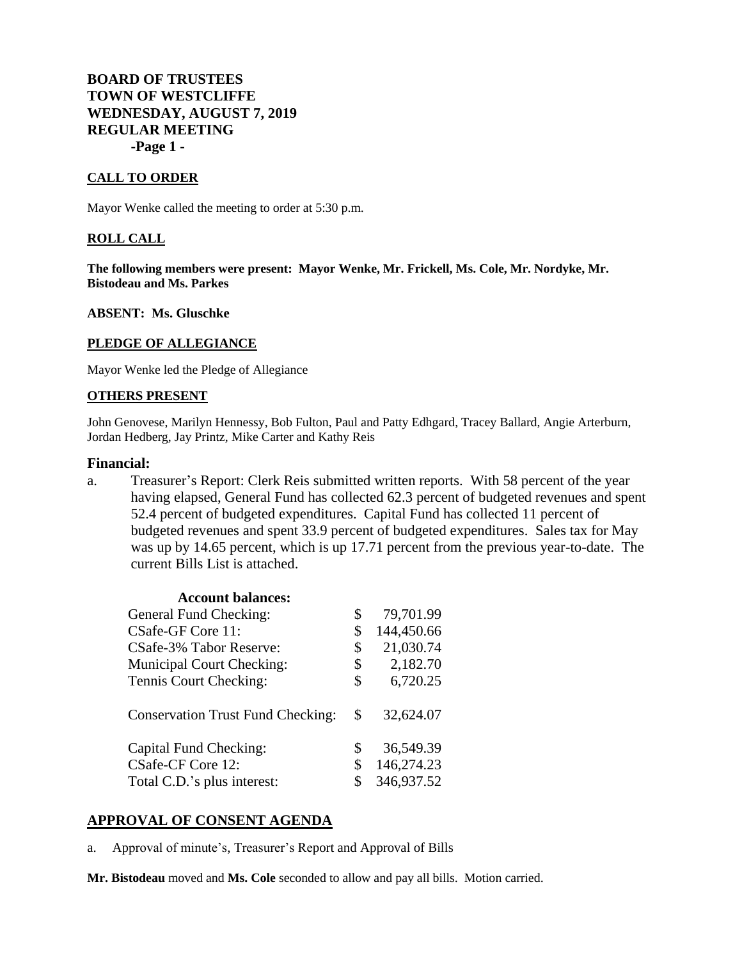## **BOARD OF TRUSTEES TOWN OF WESTCLIFFE WEDNESDAY, AUGUST 7, 2019 REGULAR MEETING -Page 1 -**

### **CALL TO ORDER**

Mayor Wenke called the meeting to order at 5:30 p.m.

### **ROLL CALL**

**The following members were present: Mayor Wenke, Mr. Frickell, Ms. Cole, Mr. Nordyke, Mr. Bistodeau and Ms. Parkes**

**ABSENT: Ms. Gluschke**

### **PLEDGE OF ALLEGIANCE**

Mayor Wenke led the Pledge of Allegiance

### **OTHERS PRESENT**

John Genovese, Marilyn Hennessy, Bob Fulton, Paul and Patty Edhgard, Tracey Ballard, Angie Arterburn, Jordan Hedberg, Jay Printz, Mike Carter and Kathy Reis

### **Financial:**

a. Treasurer's Report: Clerk Reis submitted written reports. With 58 percent of the year having elapsed, General Fund has collected 62.3 percent of budgeted revenues and spent 52.4 percent of budgeted expenditures. Capital Fund has collected 11 percent of budgeted revenues and spent 33.9 percent of budgeted expenditures. Sales tax for May was up by 14.65 percent, which is up 17.71 percent from the previous year-to-date. The current Bills List is attached.

| <b>Account balances:</b>                 |                  |
|------------------------------------------|------------------|
| General Fund Checking:                   | \$<br>79,701.99  |
| CSafe-GF Core 11:                        | \$<br>144,450.66 |
| CSafe-3% Tabor Reserve:                  | \$<br>21,030.74  |
| <b>Municipal Court Checking:</b>         | \$<br>2,182.70   |
| Tennis Court Checking:                   | \$<br>6,720.25   |
| <b>Conservation Trust Fund Checking:</b> | \$<br>32,624.07  |
| Capital Fund Checking:                   | \$<br>36,549.39  |
| CSafe-CF Core 12:                        | \$<br>146,274.23 |
| Total C.D.'s plus interest:              | \$<br>346,937.52 |

## **APPROVAL OF CONSENT AGENDA**

a. Approval of minute's, Treasurer's Report and Approval of Bills

**Mr. Bistodeau** moved and **Ms. Cole** seconded to allow and pay all bills. Motion carried.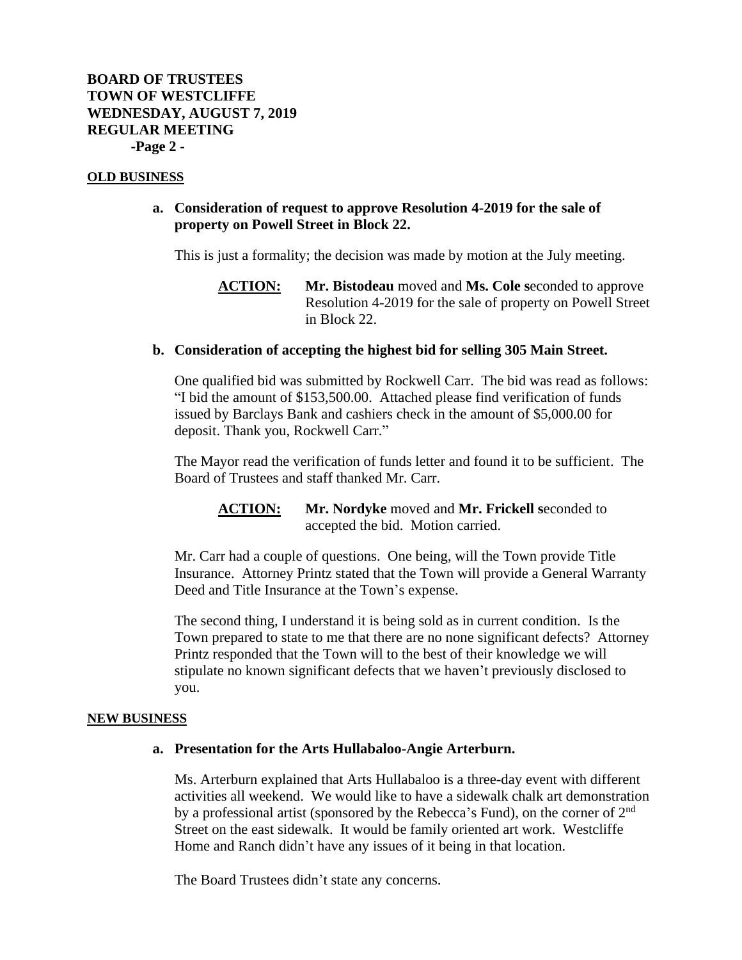### **OLD BUSINESS**

## **a. Consideration of request to approve Resolution 4-2019 for the sale of property on Powell Street in Block 22.**

This is just a formality; the decision was made by motion at the July meeting.

# **ACTION: Mr. Bistodeau** moved and **Ms. Cole s**econded to approve Resolution 4-2019 for the sale of property on Powell Street in Block 22.

## **b. Consideration of accepting the highest bid for selling 305 Main Street.**

One qualified bid was submitted by Rockwell Carr. The bid was read as follows: "I bid the amount of \$153,500.00. Attached please find verification of funds issued by Barclays Bank and cashiers check in the amount of \$5,000.00 for deposit. Thank you, Rockwell Carr."

The Mayor read the verification of funds letter and found it to be sufficient. The Board of Trustees and staff thanked Mr. Carr.

## **ACTION: Mr. Nordyke** moved and **Mr. Frickell s**econded to accepted the bid. Motion carried.

Mr. Carr had a couple of questions. One being, will the Town provide Title Insurance. Attorney Printz stated that the Town will provide a General Warranty Deed and Title Insurance at the Town's expense.

The second thing, I understand it is being sold as in current condition. Is the Town prepared to state to me that there are no none significant defects? Attorney Printz responded that the Town will to the best of their knowledge we will stipulate no known significant defects that we haven't previously disclosed to you.

### **NEW BUSINESS**

### **a. Presentation for the Arts Hullabaloo-Angie Arterburn.**

Ms. Arterburn explained that Arts Hullabaloo is a three-day event with different activities all weekend. We would like to have a sidewalk chalk art demonstration by a professional artist (sponsored by the Rebecca's Fund), on the corner of 2nd Street on the east sidewalk. It would be family oriented art work. Westcliffe Home and Ranch didn't have any issues of it being in that location.

The Board Trustees didn't state any concerns.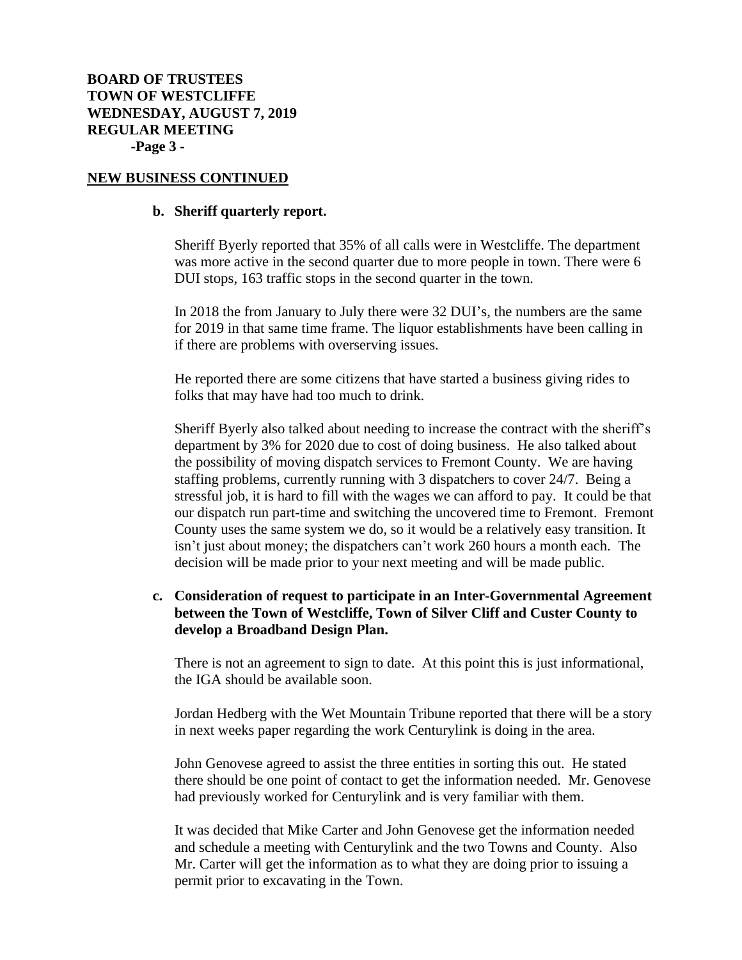### **NEW BUSINESS CONTINUED**

### **b. Sheriff quarterly report.**

Sheriff Byerly reported that 35% of all calls were in Westcliffe. The department was more active in the second quarter due to more people in town. There were 6 DUI stops, 163 traffic stops in the second quarter in the town.

In 2018 the from January to July there were 32 DUI's, the numbers are the same for 2019 in that same time frame. The liquor establishments have been calling in if there are problems with overserving issues.

He reported there are some citizens that have started a business giving rides to folks that may have had too much to drink.

Sheriff Byerly also talked about needing to increase the contract with the sheriff's department by 3% for 2020 due to cost of doing business. He also talked about the possibility of moving dispatch services to Fremont County. We are having staffing problems, currently running with 3 dispatchers to cover 24/7. Being a stressful job, it is hard to fill with the wages we can afford to pay. It could be that our dispatch run part-time and switching the uncovered time to Fremont. Fremont County uses the same system we do, so it would be a relatively easy transition. It isn't just about money; the dispatchers can't work 260 hours a month each. The decision will be made prior to your next meeting and will be made public.

# **c. Consideration of request to participate in an Inter-Governmental Agreement between the Town of Westcliffe, Town of Silver Cliff and Custer County to develop a Broadband Design Plan.**

There is not an agreement to sign to date. At this point this is just informational, the IGA should be available soon.

Jordan Hedberg with the Wet Mountain Tribune reported that there will be a story in next weeks paper regarding the work Centurylink is doing in the area.

John Genovese agreed to assist the three entities in sorting this out. He stated there should be one point of contact to get the information needed. Mr. Genovese had previously worked for Centurylink and is very familiar with them.

It was decided that Mike Carter and John Genovese get the information needed and schedule a meeting with Centurylink and the two Towns and County. Also Mr. Carter will get the information as to what they are doing prior to issuing a permit prior to excavating in the Town.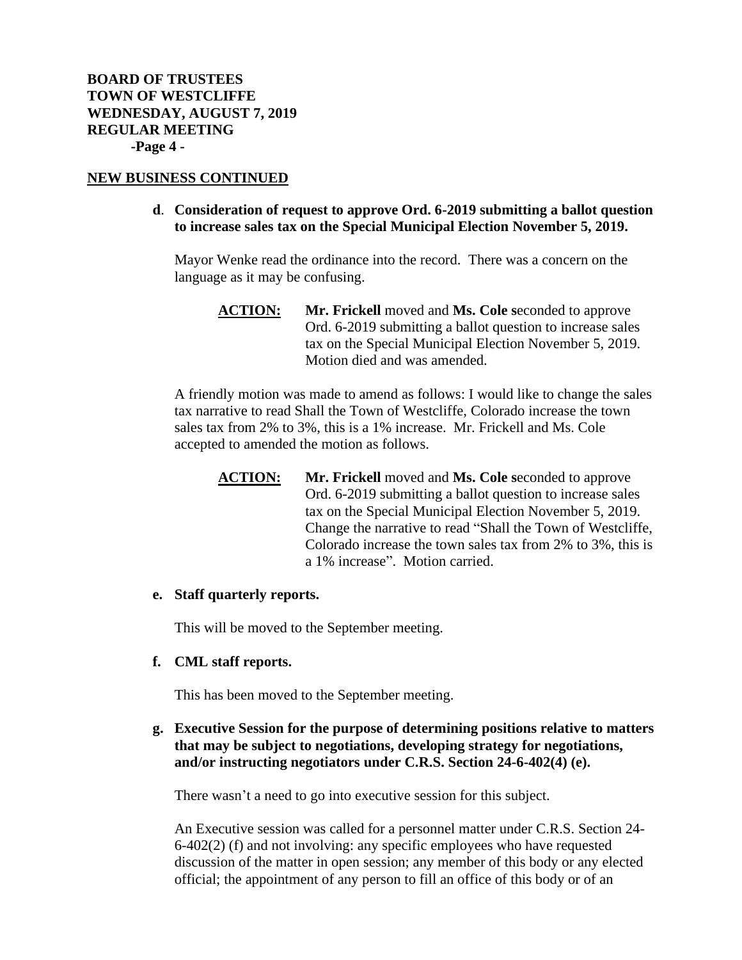## **NEW BUSINESS CONTINUED**

## **d**. **Consideration of request to approve Ord. 6-2019 submitting a ballot question to increase sales tax on the Special Municipal Election November 5, 2019.**

Mayor Wenke read the ordinance into the record. There was a concern on the language as it may be confusing.

A friendly motion was made to amend as follows: I would like to change the sales tax narrative to read Shall the Town of Westcliffe, Colorado increase the town sales tax from 2% to 3%, this is a 1% increase. Mr. Frickell and Ms. Cole accepted to amended the motion as follows.

**ACTION: Mr. Frickell** moved and **Ms. Cole s**econded to approve Ord. 6-2019 submitting a ballot question to increase sales tax on the Special Municipal Election November 5, 2019. Change the narrative to read "Shall the Town of Westcliffe, Colorado increase the town sales tax from 2% to 3%, this is a 1% increase". Motion carried.

## **e. Staff quarterly reports.**

This will be moved to the September meeting.

## **f. CML staff reports.**

This has been moved to the September meeting.

## **g. Executive Session for the purpose of determining positions relative to matters that may be subject to negotiations, developing strategy for negotiations, and/or instructing negotiators under C.R.S. Section 24-6-402(4) (e).**

There wasn't a need to go into executive session for this subject.

An Executive session was called for a personnel matter under C.R.S. Section 24- 6-402(2) (f) and not involving: any specific employees who have requested discussion of the matter in open session; any member of this body or any elected official; the appointment of any person to fill an office of this body or of an

**ACTION: Mr. Frickell** moved and **Ms. Cole s**econded to approve Ord. 6-2019 submitting a ballot question to increase sales tax on the Special Municipal Election November 5, 2019. Motion died and was amended.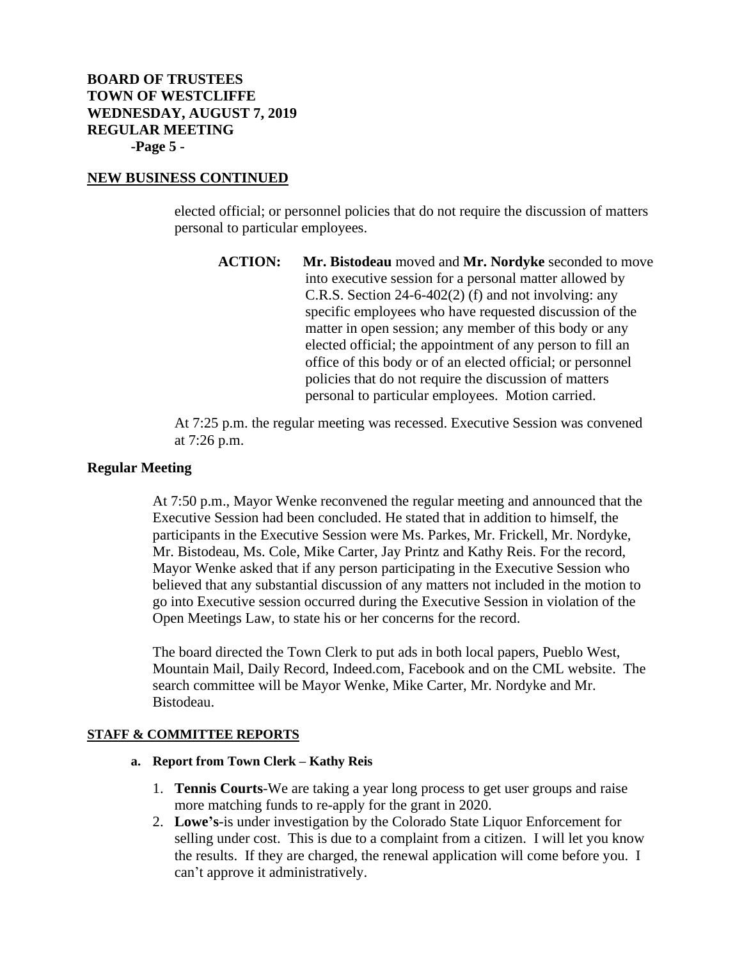# **BOARD OF TRUSTEES TOWN OF WESTCLIFFE WEDNESDAY, AUGUST 7, 2019 REGULAR MEETING -Page 5 -**

## **NEW BUSINESS CONTINUED**

elected official; or personnel policies that do not require the discussion of matters personal to particular employees.

**ACTION: Mr. Bistodeau** moved and **Mr. Nordyke** seconded to move into executive session for a personal matter allowed by C.R.S. Section 24-6-402(2) (f) and not involving: any specific employees who have requested discussion of the matter in open session; any member of this body or any elected official; the appointment of any person to fill an office of this body or of an elected official; or personnel policies that do not require the discussion of matters personal to particular employees. Motion carried.

At 7:25 p.m. the regular meeting was recessed. Executive Session was convened at 7:26 p.m.

## **Regular Meeting**

At 7:50 p.m., Mayor Wenke reconvened the regular meeting and announced that the Executive Session had been concluded. He stated that in addition to himself, the participants in the Executive Session were Ms. Parkes, Mr. Frickell, Mr. Nordyke, Mr. Bistodeau, Ms. Cole, Mike Carter, Jay Printz and Kathy Reis. For the record, Mayor Wenke asked that if any person participating in the Executive Session who believed that any substantial discussion of any matters not included in the motion to go into Executive session occurred during the Executive Session in violation of the Open Meetings Law, to state his or her concerns for the record.

The board directed the Town Clerk to put ads in both local papers, Pueblo West, Mountain Mail, Daily Record, Indeed.com, Facebook and on the CML website. The search committee will be Mayor Wenke, Mike Carter, Mr. Nordyke and Mr. Bistodeau.

### **STAFF & COMMITTEE REPORTS**

### **a. Report from Town Clerk – Kathy Reis**

- 1. **Tennis Courts**-We are taking a year long process to get user groups and raise more matching funds to re-apply for the grant in 2020.
- 2. **Lowe's**-is under investigation by the Colorado State Liquor Enforcement for selling under cost. This is due to a complaint from a citizen. I will let you know the results. If they are charged, the renewal application will come before you. I can't approve it administratively.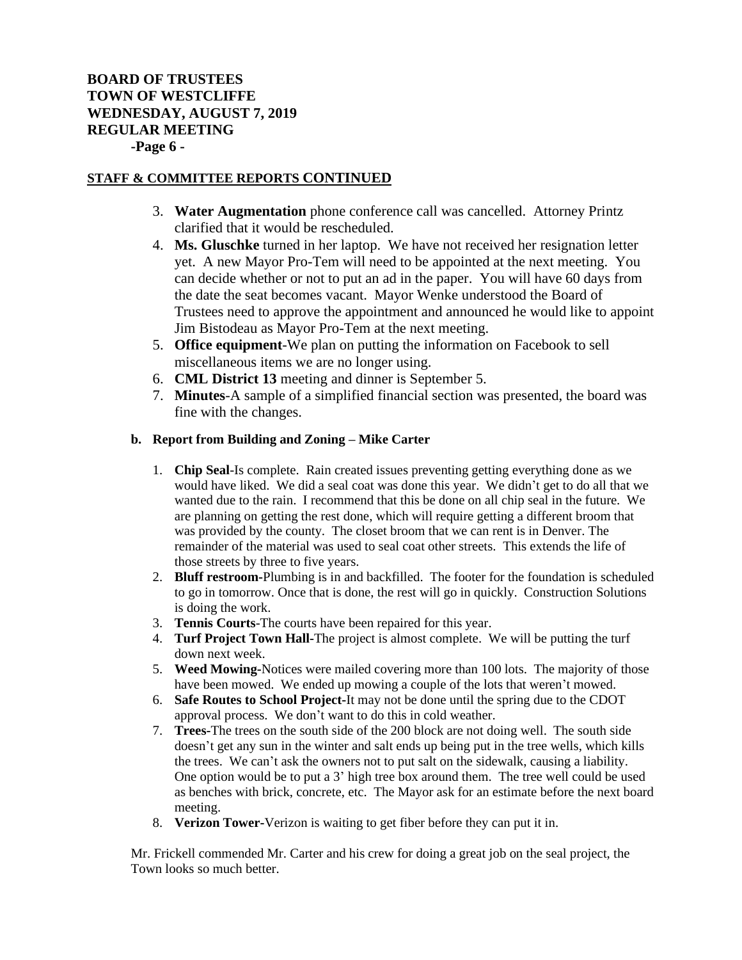# **BOARD OF TRUSTEES TOWN OF WESTCLIFFE WEDNESDAY, AUGUST 7, 2019 REGULAR MEETING -Page 6 -**

### **STAFF & COMMITTEE REPORTS CONTINUED**

- 3. **Water Augmentation** phone conference call was cancelled. Attorney Printz clarified that it would be rescheduled.
- 4. **Ms. Gluschke** turned in her laptop. We have not received her resignation letter yet. A new Mayor Pro-Tem will need to be appointed at the next meeting. You can decide whether or not to put an ad in the paper. You will have 60 days from the date the seat becomes vacant. Mayor Wenke understood the Board of Trustees need to approve the appointment and announced he would like to appoint Jim Bistodeau as Mayor Pro-Tem at the next meeting.
- 5. **Office equipment**-We plan on putting the information on Facebook to sell miscellaneous items we are no longer using.
- 6. **CML District 13** meeting and dinner is September 5.
- 7. **Minutes**-A sample of a simplified financial section was presented, the board was fine with the changes.

### **b. Report from Building and Zoning – Mike Carter**

- 1. **Chip Seal**-Is complete. Rain created issues preventing getting everything done as we would have liked. We did a seal coat was done this year. We didn't get to do all that we wanted due to the rain. I recommend that this be done on all chip seal in the future. We are planning on getting the rest done, which will require getting a different broom that was provided by the county. The closet broom that we can rent is in Denver. The remainder of the material was used to seal coat other streets. This extends the life of those streets by three to five years.
- 2. **Bluff restroom-**Plumbing is in and backfilled. The footer for the foundation is scheduled to go in tomorrow. Once that is done, the rest will go in quickly. Construction Solutions is doing the work.
- 3. **Tennis Courts**-The courts have been repaired for this year.
- 4. **Turf Project Town Hall-**The project is almost complete. We will be putting the turf down next week.
- 5. **Weed Mowing-**Notices were mailed covering more than 100 lots. The majority of those have been mowed. We ended up mowing a couple of the lots that weren't mowed.
- 6. **Safe Routes to School Project-**It may not be done until the spring due to the CDOT approval process. We don't want to do this in cold weather.
- 7. **Trees-**The trees on the south side of the 200 block are not doing well. The south side doesn't get any sun in the winter and salt ends up being put in the tree wells, which kills the trees. We can't ask the owners not to put salt on the sidewalk, causing a liability. One option would be to put a 3' high tree box around them. The tree well could be used as benches with brick, concrete, etc. The Mayor ask for an estimate before the next board meeting.
- 8. **Verizon Tower-**Verizon is waiting to get fiber before they can put it in.

Mr. Frickell commended Mr. Carter and his crew for doing a great job on the seal project, the Town looks so much better.